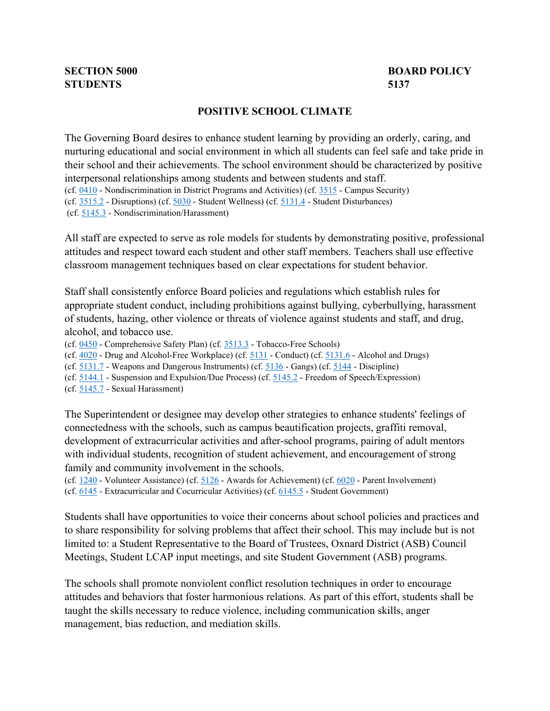## **SECTION 5000 STUDENTS 5137**

## **BOARD POLICY**

## **POSITIVE SCHOOL CLIMATE**

(cf.  $0410$  - Nondiscrimination in District Programs and Activities) (cf.  $3515$  - Campus Security) (cf.  $3515.2$  - Disruptions) (cf.  $5030$  - Student Wellness) (cf.  $5131.4$  - Student Disturbances) (cf[. 5145.3](http://gamutonline.net/displayPolicy/1056960/5) - Nondiscrimination/Harassment) The Governing Board desires to enhance student learning by providing an orderly, caring, and nurturing educational and social environment in which all students can feel safe and take pride in their school and their achievements. The school environment should be characterized by positive interpersonal relationships among students and between students and staff.

All staff are expected to serve as role models for students by demonstrating positive, professional attitudes and respect toward each student and other staff members. Teachers shall use effective classroom management techniques based on clear expectations for student behavior.

Staff shall consistently enforce Board policies and regulations which establish rules for appropriate student conduct, including prohibitions against bullying, cyberbullying, harassment of students, hazing, other violence or threats of violence against students and staff, and drug, alcohol, and tobacco use.

(cf. [0450](http://gamutonline.net/displayPolicy/1053052/5) - Comprehensive Safety Plan) (cf[. 3513.3](http://gamutonline.net/displayPolicy/1053057/5) - Tobacco-Free Schools)

(cf.  $4020$  - Drug and Alcohol-Free Workplace) (cf.  $5131$  - Conduct) (cf.  $5131.6$  - Alcohol and Drugs)

(cf. [5131.7](http://gamutonline.net/displayPolicy/244950/5) - Weapons and Dangerous Instruments) (cf[. 5136](http://gamutonline.net/displayPolicy/171236/5) - Gangs) (cf. [5144 -](http://gamutonline.net/displayPolicy/909486/5) Discipline)

(cf. [5144.1](http://gamutonline.net/displayPolicy/909488/5) - Suspension and Expulsion/Due Process) (cf. [5145.2 -](http://gamutonline.net/displayPolicy/249198/5) Freedom of Speech/Expression)

The Superintendent or designee may develop other strategies to enhance students' feelings of connectedness with the schools, such as campus beautification projects, graffiti removal, development of extracurricular activities and after-school programs, pairing of adult mentors with individual students, recognition of student achievement, and encouragement of strong family and community involvement in the schools.

(cf.  $1240$  - Volunteer Assistance) (cf.  $5126$  - Awards for Achievement) (cf.  $6020$  - Parent Involvement) (cf. [6145](http://gamutonline.net/displayPolicy/1075009/5) - Extracurricular and Cocurricular Activities) (cf. [6145.5](http://gamutonline.net/displayPolicy/274291/5) - Student Government)

Students shall have opportunities to voice their concerns about school policies and practices and to share responsibility for solving problems that affect their school. This may include but is not limited to: a Student Representative to the Board of Trustees, Oxnard District (ASB) Council Meetings, Student LCAP input meetings, and site Student Government (ASB) programs.

The schools shall promote nonviolent conflict resolution techniques in order to encourage attitudes and behaviors that foster harmonious relations. As part of this effort, students shall be taught the skills necessary to reduce violence, including communication skills, anger management, bias reduction, and mediation skills.

 (cf. [5145.7](http://gamutonline.net/displayPolicy/1056962/5) - Sexual Harassment)